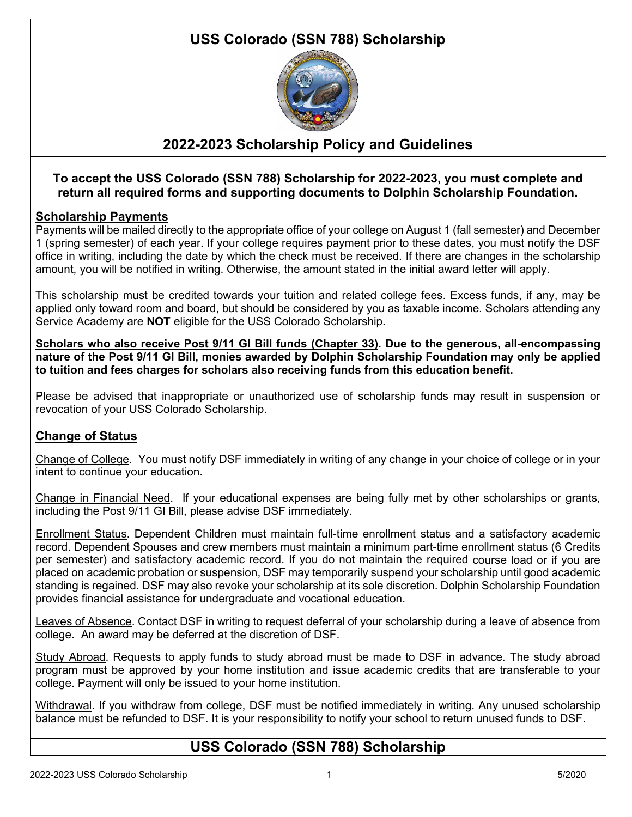# **USS Colorado (SSN 788) Scholarship**



# **2022-2023 Scholarship Policy and Guidelines**

## **To accept the USS Colorado (SSN 788) Scholarship for 2022-2023, you must complete and return all required forms and supporting documents to Dolphin Scholarship Foundation.**

### **Scholarship Payments**

Payments will be mailed directly to the appropriate office of your college on August 1 (fall semester) and December 1 (spring semester) of each year. If your college requires payment prior to these dates, you must notify the DSF office in writing, including the date by which the check must be received. If there are changes in the scholarship amount, you will be notified in writing. Otherwise, the amount stated in the initial award letter will apply.

This scholarship must be credited towards your tuition and related college fees. Excess funds, if any, may be applied only toward room and board, but should be considered by you as taxable income. Scholars attending any Service Academy are **NOT** eligible for the USS Colorado Scholarship.

**Scholars who also receive Post 9/11 GI Bill funds (Chapter 33). Due to the generous, all-encompassing nature of the Post 9/11 GI Bill, monies awarded by Dolphin Scholarship Foundation may only be applied to tuition and fees charges for scholars also receiving funds from this education benefit.**

Please be advised that inappropriate or unauthorized use of scholarship funds may result in suspension or revocation of your USS Colorado Scholarship.

## **Change of Status**

Change of College. You must notify DSF immediately in writing of any change in your choice of college or in your intent to continue your education.

Change in Financial Need. If your educational expenses are being fully met by other scholarships or grants, including the Post 9/11 GI Bill, please advise DSF immediately.

Enrollment Status. Dependent Children must maintain full-time enrollment status and a satisfactory academic record. Dependent Spouses and crew members must maintain a minimum part-time enrollment status (6 Credits per semester) and satisfactory academic record. If you do not maintain the required course load or if you are placed on academic probation or suspension, DSF may temporarily suspend your scholarship until good academic standing is regained. DSF may also revoke your scholarship at its sole discretion. Dolphin Scholarship Foundation provides financial assistance for undergraduate and vocational education.

Leaves of Absence. Contact DSF in writing to request deferral of your scholarship during a leave of absence from college. An award may be deferred at the discretion of DSF.

Study Abroad. Requests to apply funds to study abroad must be made to DSF in advance. The study abroad program must be approved by your home institution and issue academic credits that are transferable to your college. Payment will only be issued to your home institution.

Withdrawal. If you withdraw from college, DSF must be notified immediately in writing. Any unused scholarship balance must be refunded to DSF. It is your responsibility to notify your school to return unused funds to DSF.

## **USS Colorado (SSN 788) Scholarship**